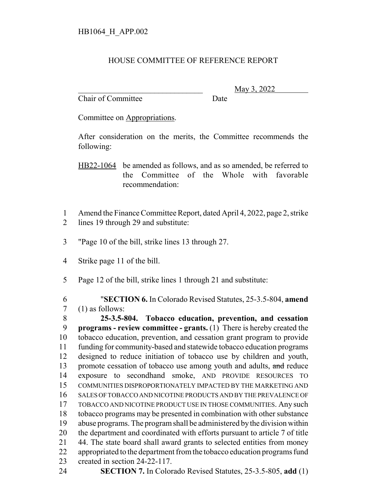## HOUSE COMMITTEE OF REFERENCE REPORT

Chair of Committee Date

\_\_\_\_\_\_\_\_\_\_\_\_\_\_\_\_\_\_\_\_\_\_\_\_\_\_\_\_\_\_\_ May 3, 2022

Committee on Appropriations.

After consideration on the merits, the Committee recommends the following:

HB22-1064 be amended as follows, and as so amended, be referred to the Committee of the Whole with favorable recommendation:

- Amend the Finance Committee Report, dated April 4, 2022, page 2, strike
- lines 19 through 29 and substitute:
- "Page 10 of the bill, strike lines 13 through 27.
- Strike page 11 of the bill.
- Page 12 of the bill, strike lines 1 through 21 and substitute:

 "**SECTION 6.** In Colorado Revised Statutes, 25-3.5-804, **amend** (1) as follows:

 **25-3.5-804. Tobacco education, prevention, and cessation programs - review committee - grants.** (1) There is hereby created the tobacco education, prevention, and cessation grant program to provide funding for community-based and statewide tobacco education programs designed to reduce initiation of tobacco use by children and youth, 13 promote cessation of tobacco use among youth and adults, and reduce exposure to secondhand smoke, AND PROVIDE RESOURCES TO COMMUNITIES DISPROPORTIONATELY IMPACTED BY THE MARKETING AND SALES OF TOBACCO AND NICOTINE PRODUCTS AND BY THE PREVALENCE OF TOBACCO AND NICOTINE PRODUCT USE IN THOSE COMMUNITIES. Any such tobacco programs may be presented in combination with other substance abuse programs. The program shall be administered by the division within the department and coordinated with efforts pursuant to article 7 of title 44. The state board shall award grants to selected entities from money 22 appropriated to the department from the tobacco education programs fund created in section 24-22-117.

**SECTION 7.** In Colorado Revised Statutes, 25-3.5-805, **add** (1)